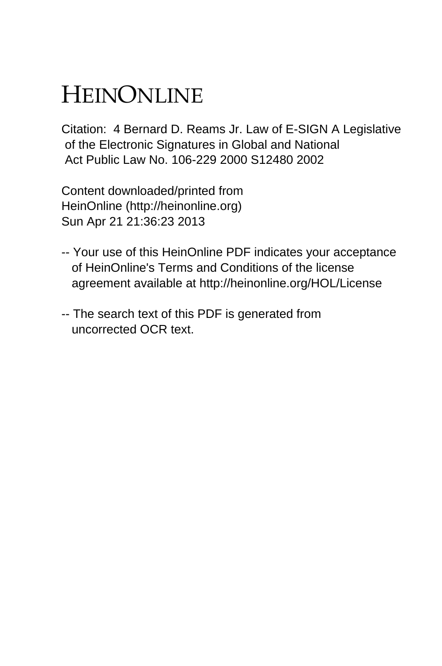# HEINONLINE

Citation: 4 Bernard D. Reams Jr. Law of E-SIGN A Legislative of the Electronic Signatures in Global and National Act Public Law No. 106-229 2000 S12480 2002

Content downloaded/printed from HeinOnline (http://heinonline.org) Sun Apr 21 21:36:23 2013

- -- Your use of this HeinOnline PDF indicates your acceptance of HeinOnline's Terms and Conditions of the license agreement available at http://heinonline.org/HOL/License
- -- The search text of this PDF is generated from uncorrected OCR text.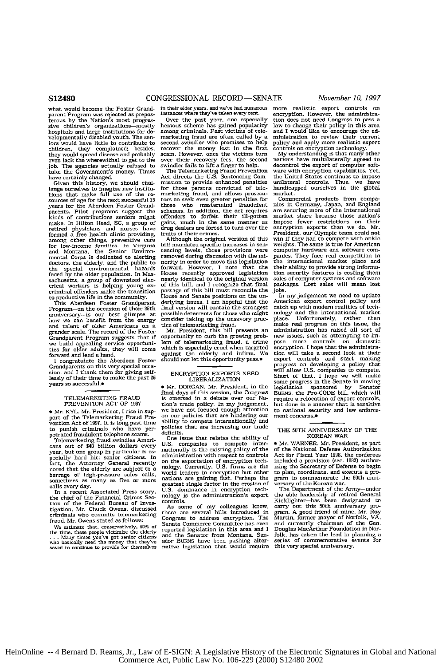what would become the Foster Grandparent Program was rejected as prepos-terous by the Nation's most progressive children's organizations-mostly hospitals and large institutions for **de**velopmentally disabled youth. The seniors would have little to contribute to<br>children, they complained; besides they would spread disease and probably even lack the wherewithal to get to the job. The agencies actually refused to take the Government's money. Times have certainly changed.

Given this history, we should challenge ourselves to imagine new institu-<br>tions that make full use of the re-<br>sources of age for the next successful 25<br>years for the Aberdeen Foster Grandparents. Pilot programs suggest the kinds of contributions seniors might make. In Hilton Head, **SC,** a group of retired physicians and nurses have formed a free health clinic providing, among other things, preventive care for low-income families. In Virginia and Montana, the Senior Environmental Corps is dedicated to alerting doctors, the elderly, and the public to the special environmental hazards faced by the older population. In Mas-sachusetts, a group of downsized elec-trical workers is helping young **ex-**criminal offenders make the transition

to productive life in the community. This Aberdeen Foster Grandparent Program-on the occasion of their 25th anniversary-is our best glimpse at how we can benefit from the energy and talent of older Americans on a grander scale. The record of the Foster Grandparent Program suggests that if **we** build appealing service opportuni-ties for older adults, they will come

forward and lend a hand. I congratulate the Aberdeen Foster Grandparents on this very special occasion, **and** I thank them for giving self-lessly of their time to make the past **25** years so successful.<sup>.</sup>

#### TELEMARKETING **FRAUD** PREVENTION **ACT** OF **1997**

\* Mr. KYL. Mr. President, I rise in support of the Telemarketing Fraud Prevention Act of **1997.** It is long past **time** to punish criminals who have perpetrated fraudulent telephone scams.

Telemarketing fraud swindles Ameri-cans out of \$40 billion dollars every year, but one group in particular is **es-pecially** hard hit: senior citizens. In fact, the Attorney General recently noted that the elderly are subject to a barrage of high-pressure sales calls, sometimes as many **as** five or more calls every day.

In a recent Associated Press story, the chief of the Financial Crimes Section of the Federal Bureau of investigation. Mr. Chuck Owens, discussed criminals who commits telemarketing fraud. Mr. Owens stated **as follows:**

We estimate that, conservatively, 50% of<br>the time, these people victimize the elderly<br>... Many times you've got senior citizense<br>who basically need the money that they've<br>saved to continue to provide for themselves

in their elder years. and we've had numerous instances where they've taken every cent.

Over the past year, one especially heinous scheme has gained popularity among criminals. Past victims of telemarketing fraud **are** often called by a second swindler who promises to help recover the money lost in the first scam. However, once the victims turn over their recovery fees, the second swindler fails to lift a finger to help.

The Telemarketing Fraud Prevention Act directs the U.S. Sentencing Commission to provide enhanced penalties for those persons convicted of tle-marketing fraud, and allows prosecunancourge transmitted products for the state of the state of the schemes. In addition, the act requires<br>schemes. In addition, the act requires<br>offenders to forfeit their ill-gotter<br>gains, much in the same manner as<br>drug de fruits of their crimes.

Although the original version of this bill mandated specific increases in **son**tenting levels, those provisions were removed during discussion with the minority in order to move this legislation forward. However, I note that the House recently approved legislation nearly identical to the original version **of** this bill, **and** I recognize that final passage of this bill must reconcile the House and Senate positions on the un-derlying issues. I am hopeful that the final version will contain the strongest possible deterrents for those who might consider taking up the unsavory practice of telemarketing fraud. Mr. President, this bill presents an

opportunity to curb the growing problem of telemarketing fraud, a crime which is especially cruel when targeted against the elderly and infirm. We should not let this opportunity pass.<sup>.</sup>

## ENCRYPTION EXPORTS **NEED** LIBERALIZATION

**e** Mr. DORGAN. Mr. President, in the final days of this session, the Congress Is emersed in a debate over our Nation's trade policy. In my judgement, we have not focused enough attention on our policies that are hindering our ability to compete internationally and policies that are increasing our trade eficits.

One issue that relates the ability of U.S. companies to compete inter-nationally is the existing policy of the administration with respect to controls **on** the exportation of encryption techon the dealers in encryption but when<br>molegy. Currently, U.S. firms are the mortual leaders in encryption but other<br>mations are gaining fast. Perhaps the<br>greatest single factor in the erosion of<br>U.S. dominance in encryptio controls.

As some of my colleagues know. there are several bills introduced in Congress to address encryption. The Senate Commerce Committee has even reported legislation in this area and I **and** the Senator from Montana, Senator BURNS have been pushing alter-native legislation that would require

more realistic export controls on encryption. However, the administra-<br>tion does not need Congress to pass a tion does not need Congress to pass a law to change their policy in this area and I would like to encourage the administration to review their current policy and apply more realistic export controls on encryption technology. **My** understanding is that many other

nations have multilaterally agreed to decontrol the export of computer software with encryption capabilities. Yet, the United States continues to impose unilateral controls. Thus, we have handicapped ourselves in the global market.

Commersial products from companies In Germany, Japan, **and** England **are** securing more of the international market share because those nation's impose fewer restrictions on their encryption exports than we do. Mr. President, our Olympic team could not win if they had to compete with ankle weights. The same Is true for American computer hardware and software companies. They face real competition in<br>the international market place and their ability to provide strong informa-tion security features is costing them sales of computer systems **and** software packages. Lost sales will mean lost jobs.

In my judgement we need to update American export control policy and catch up with modern realities of technology and the international market place. Unfortunately, rather *than* make real progress **on** this issue, the mani-rican-proposar and administration has raised all sort of<br>new issues, such as attempting to im-<br>pose more controls on domestic<br>tion will take a second look at their<br>encryption. I hope that the administration<br>progress o **BURNS,** the Pro-CODE bill, which will require a relocation of export controls, but done in a manner that is sensitive to national security **and** law enforcement concerns.

### THE **50TH** ANNIVERSARY OF THE KOREAN WAR

\* Mr. WARNER. Mr. President, as part of the National Defense Authorization Act for Fiscal Year **1998,** the conferees included a provision (sec. **103)** author-izing the Secretary of Defense to begin to plan, coordinate, and execute a pro-gram to commemorate the 50th anni-

gram of commensurate the Army–under<br>The Department of the Korean war.<br>The Boher change the able leadership of rettred General<br>Kicklighter—has been designated to<br>carry out this 50th anniversary program. A good friend of min folk, has taken the lead in planning a series of commemorative events for this very special anniversary.